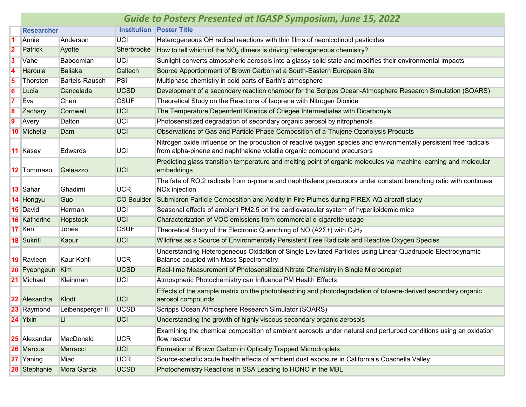|    | <b>Guide to Posters Presented at IGASP Symposium, June 15, 2022</b> |                          |                   |                                                                                                                                                                                              |  |  |  |
|----|---------------------------------------------------------------------|--------------------------|-------------------|----------------------------------------------------------------------------------------------------------------------------------------------------------------------------------------------|--|--|--|
|    | <b>Researcher</b>                                                   |                          |                   | <b>Institution Poster Title</b>                                                                                                                                                              |  |  |  |
| 11 | Annie                                                               | Anderson                 | <b>UCI</b>        | Heterogeneous OH radical reactions with thin films of neonicotinoid pesticides                                                                                                               |  |  |  |
| 2  | <b>Patrick</b>                                                      | Ayotte                   | Sherbrooke        | How to tell which of the NO <sub>2</sub> dimers is driving heterogeneous chemistry?                                                                                                          |  |  |  |
| 3  | Vahe                                                                | Baboomian                | <b>UCI</b>        | Sunlight converts atmospheric aerosols into a glassy solid state and modifies their environmental impacts                                                                                    |  |  |  |
| 4  | Haroula                                                             | <b>Baliaka</b>           | Caltech           | Source Apportionment of Brown Carbon at a South-Eastern European Site                                                                                                                        |  |  |  |
| 5  | Thorsten                                                            | <b>Bartels-Rausch</b>    | PSI               | Multiphase chemistry in cold parts of Earth's atmosphere                                                                                                                                     |  |  |  |
| 6  | Lucia                                                               | Cancelada                | <b>UCSD</b>       | Development of a secondary reaction chamber for the Scripps Ocean-Atmosphere Research Simulation (SOARS)                                                                                     |  |  |  |
|    | Eva                                                                 | Chen                     | <b>CSUF</b>       | Theoretical Study on the Reactions of Isoprene with Nitrogen Dioxide                                                                                                                         |  |  |  |
| 8  | Zachary                                                             | Cornwell                 | <b>UCI</b>        | The Temperature Dependent Kinetics of Criegee Intermediates with Dicarbonyls                                                                                                                 |  |  |  |
| Ι9 | Avery                                                               | Dalton                   | <b>UCI</b>        | Photosensitized degradation of secondary organic aerosol by nitrophenols                                                                                                                     |  |  |  |
|    | 10 Michelia                                                         | Dam                      | <b>UCI</b>        | Observations of Gas and Particle Phase Composition of a-Thujene Ozonolysis Products                                                                                                          |  |  |  |
|    | 11 Kasey                                                            | Edwards                  | UCI               | Nitrogen oxide influence on the production of reactive oxygen species and environmentally persistent free radicals<br>from alpha-pinene and naphthalene volatile organic compound precursors |  |  |  |
|    | 12 Tommaso                                                          | Galeazzo                 | <b>UCI</b>        | Predicting glass transition temperature and melting point of organic molecules via machine learning and molecular<br>embeddings                                                              |  |  |  |
|    | 13 Sahar                                                            | Ghadimi                  | <b>UCR</b>        | The fate of RO.2 radicals from $\alpha$ -pinene and naphthalene precursors under constant branching ratio with continues<br>NO <sub>x</sub> injection                                        |  |  |  |
|    | 14 Hongyu                                                           | Guo                      | <b>CO Boulder</b> | Submicron Particle Composition and Acidity in Fire Plumes during FIREX-AQ aircraft study                                                                                                     |  |  |  |
|    | 15 David                                                            | Herman                   | <b>UCI</b>        | Seasonal effects of ambient PM2.5 on the cardiovascular system of hyperlipidemic mice                                                                                                        |  |  |  |
|    | <b>16 Katherine</b>                                                 | Hopstock                 | <b>UCI</b>        | Characterization of VOC emissions from commercial e-cigarette usage                                                                                                                          |  |  |  |
|    | 17 Ken                                                              | Jones                    | <b>CSUF</b>       | Theoretical Study of the Electronic Quenching of NO (A2 $\Sigma$ +) with C <sub>2</sub> H <sub>2</sub>                                                                                       |  |  |  |
|    | 18 Sukriti                                                          | Kapur                    | <b>UCI</b>        | Wildfires as a Source of Environmentally Persistent Free Radicals and Reactive Oxygen Species                                                                                                |  |  |  |
|    | <b>19 Ravleen</b>                                                   | Kaur Kohli               | <b>UCR</b>        | Understanding Heterogeneous Oxidation of Single Levitated Particles using Linear Quadrupole Electrodynamic<br>Balance coupled with Mass Spectrometry                                         |  |  |  |
|    | 20 Pyeongeun                                                        | Kim                      | <b>UCSD</b>       | Real-time Measurement of Photosensitized Nitrate Chemistry in Single Microdroplet                                                                                                            |  |  |  |
|    | 21 Michael                                                          | Kleinman                 | <b>UCI</b>        | Atmospheric Photochemistry can Influence PM Health Effects                                                                                                                                   |  |  |  |
|    | 22 Alexandra                                                        | Klodt                    | UCI               | Effects of the sample matrix on the photobleaching and photodegradation of toluene-derived secondary organic<br>aerosol compounds                                                            |  |  |  |
|    | 23 Raymond                                                          | Leibensperger III   UCSD |                   | Scripps Ocean Atmosphere Research Simulator (SOARS)                                                                                                                                          |  |  |  |
|    | 24 Yixin                                                            | Li.                      | <b>UCI</b>        | Understanding the growth of highly viscous secondary organic aerosols                                                                                                                        |  |  |  |
|    | <b>25</b> Alexander                                                 | MacDonald                | <b>UCR</b>        | Examining the chemical composition of ambient aerosols under natural and perturbed conditions using an oxidation<br>flow reactor                                                             |  |  |  |
|    | 26 Marcus                                                           | Marracci                 | <b>UCI</b>        | Formation of Brown Carbon in Optically Trapped Microdroplets                                                                                                                                 |  |  |  |
|    | 27 Yaning                                                           | Miao                     | <b>UCR</b>        | Source-specific acute health effects of ambient dust exposure in California's Coachella Valley                                                                                               |  |  |  |
|    | 28 Stephanie                                                        | Mora Garcia              | <b>UCSD</b>       | Photochemistry Reactions in SSA Leading to HONO in the MBL                                                                                                                                   |  |  |  |